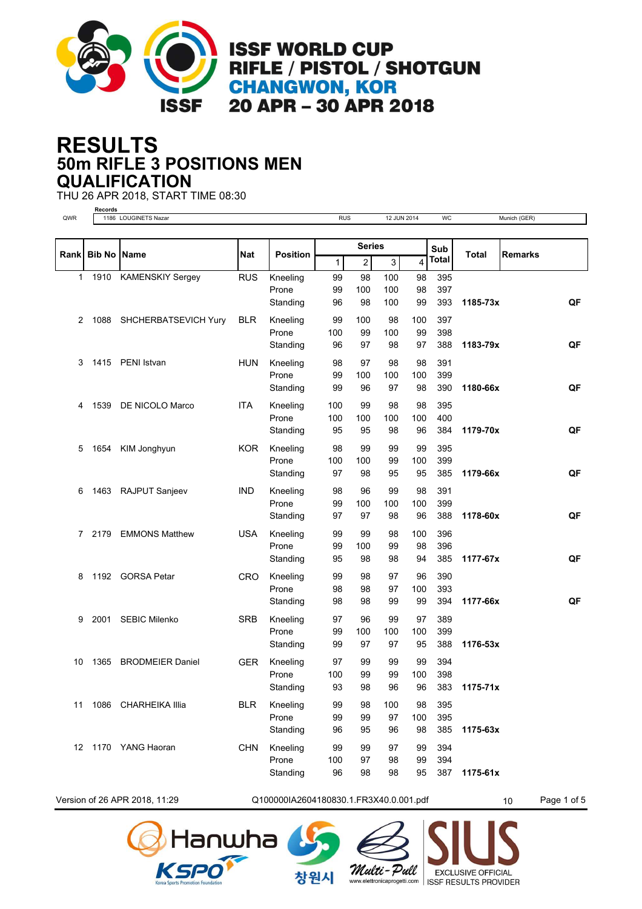

**ISSF WORLD CUP RIFLE / PISTOL / SHOTGUN CHANGWON, KOR** 20 APR - 30 APR 2018

## **50m RIFLE 3 POSITIONS MEN RESULTS QUALIFICATION**

THU 26 APR 2018, START TIME 08:30



Version of 26 APR 2018, 11:29  $Q1000001A2604180830.1.FR3X40.0.001.pdf$   $10$  Page 1 of 5

창워시





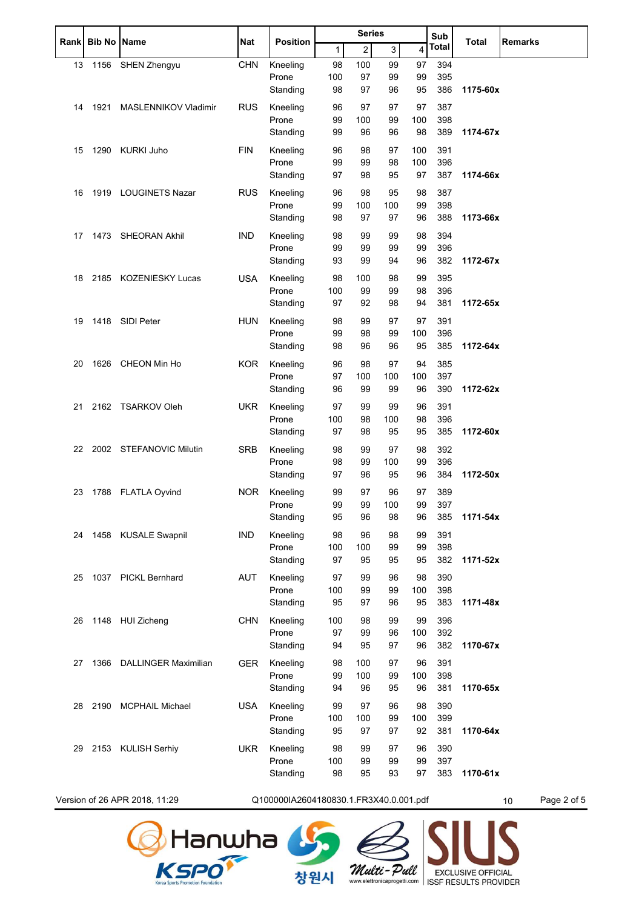| <b>Rank</b> | <b>Bib No Name</b> |                               | Nat        | <b>Position</b>                        |          | <b>Series</b> |              | Sub<br>Total |              | <b>Remarks</b> |                   |
|-------------|--------------------|-------------------------------|------------|----------------------------------------|----------|---------------|--------------|--------------|--------------|----------------|-------------------|
|             |                    |                               |            |                                        | 1        | 2             | $\mathbf{3}$ | 4            | <b>Total</b> |                |                   |
| 13          |                    | 1156 SHEN Zhengyu             | <b>CHN</b> | Kneeling                               | 98       | 100           | 99           | 97           | 394          |                |                   |
|             |                    |                               |            | Prone                                  | 100      | 97            | 99           | 99           | 395          |                |                   |
|             |                    |                               |            | Standing                               | 98       | 97            | 96           | 95           | 386          | 1175-60x       |                   |
| 14          | 1921               | MASLENNIKOV Vladimir          | <b>RUS</b> | Kneeling                               | 96       | 97            | 97           | 97           | 387          |                |                   |
|             |                    |                               |            | Prone                                  | 99       | 100           | 99           | 100          | 398          |                |                   |
|             |                    |                               |            | Standing                               | 99       | 96            | 96           | 98           | 389          | 1174-67x       |                   |
| 15          | 1290               | KURKI Juho                    | <b>FIN</b> | Kneeling                               | 96       | 98            | 97           | 100          | 391          |                |                   |
|             |                    |                               |            | Prone                                  | 99       | 99            | 98           | 100          | 396          |                |                   |
|             |                    |                               |            | Standing                               | 97       | 98            | 95           | 97           | 387          | 1174-66x       |                   |
| 16          |                    | 1919 LOUGINETS Nazar          | <b>RUS</b> | Kneeling                               | 96       | 98            | 95           | 98           | 387          |                |                   |
|             |                    |                               |            | Prone                                  | 99       | 100           | 100          | 99           | 398          |                |                   |
|             |                    |                               |            | Standing                               | 98       | 97            | 97           | 96           | 388          | 1173-66x       |                   |
| 17          |                    | 1473 SHEORAN Akhil            | <b>IND</b> | Kneeling                               | 98       | 99            | 99           | 98           | 394          |                |                   |
|             |                    |                               |            | Prone                                  | 99       | 99            | 99           | 99           | 396          |                |                   |
|             |                    |                               |            | Standing                               | 93       | 99            | 94           | 96           | 382          | 1172-67x       |                   |
| 18          |                    | 2185 KOZENIESKY Lucas         | <b>USA</b> | Kneeling                               | 98       | 100           | 98           | 99           | 395          |                |                   |
|             |                    |                               |            | Prone                                  | 100      | 99            | 99           | 98           | 396          |                |                   |
|             |                    |                               |            | Standing                               | 97       | 92            | 98           | 94           | 381          | 1172-65x       |                   |
|             |                    | 1418 SIDI Peter               | <b>HUN</b> |                                        |          |               |              |              |              |                |                   |
| 19          |                    |                               |            | Kneeling<br>Prone                      | 98<br>99 | 99<br>98      | 97<br>99     | 97<br>100    | 391<br>396   |                |                   |
|             |                    |                               |            | Standing                               | 98       | 96            | 96           | 95           | 385          | 1172-64x       |                   |
|             |                    |                               |            |                                        |          |               |              |              |              |                |                   |
| 20          |                    | 1626 CHEON Min Ho             | <b>KOR</b> | Kneeling                               | 96       | 98            | 97           | 94           | 385          |                |                   |
|             |                    |                               |            | Prone<br>Standing                      | 97<br>96 | 100<br>99     | 100<br>99    | 100<br>96    | 397<br>390   | 1172-62x       |                   |
|             |                    |                               |            |                                        |          |               |              |              |              |                |                   |
| 21          |                    | 2162 TSARKOV Oleh             | <b>UKR</b> | Kneeling                               | 97       | 99            | 99           | 96           | 391          |                |                   |
|             |                    |                               |            | Prone                                  | 100      | 98            | 100          | 98           | 396          |                |                   |
|             |                    |                               |            | Standing                               | 97       | 98            | 95           | 95           | 385          | 1172-60x       |                   |
| 22          |                    | 2002 STEFANOVIC Milutin       | <b>SRB</b> | Kneeling                               | 98       | 99            | 97           | 98           | 392          |                |                   |
|             |                    |                               |            | Prone                                  | 98       | 99            | 100          | 99           | 396          |                |                   |
|             |                    |                               |            | Standing                               | 97       | 96            | 95           | 96           | 384          | 1172-50x       |                   |
| 23          |                    | 1788 FLATLA Oyvind            | NOR.       | Kneeling                               | 99       | 97            | 96           | 97           | 389          |                |                   |
|             |                    |                               |            | Prone                                  | 99       | 99            | 100          | 99           | 397          |                |                   |
|             |                    |                               |            | Standing                               | 95       | 96            | 98           | 96           | 385          | 1171-54x       |                   |
| 24          |                    | 1458 KUSALE Swapnil           | <b>IND</b> | Kneeling                               | 98       | 96            | 98           | 99           | 391          |                |                   |
|             |                    |                               |            | Prone                                  | 100      | 100           | 99           | 99           | 398          |                |                   |
|             |                    |                               |            | Standing                               | 97       | 95            | 95           | 95           | 382          | 1171-52x       |                   |
| 25          |                    | 1037 PICKL Bernhard           | AUT        | Kneeling                               | 97       | 99            | 96           | 98           | 390          |                |                   |
|             |                    |                               |            | Prone                                  | 100      | 99            | 99           | 100          | 398          |                |                   |
|             |                    |                               |            | Standing                               | 95       | 97            | 96           | 95           | 383          | 1171-48x       |                   |
| 26          |                    | 1148 HUI Zicheng              | <b>CHN</b> | Kneeling                               | 100      | 98            | 99           | 99           | 396          |                |                   |
|             |                    |                               |            | Prone                                  | 97       | 99            | 96           | 100          | 392          |                |                   |
|             |                    |                               |            | Standing                               | 94       | 95            | 97           | 96           | 382          | 1170-67x       |                   |
| 27          | 1366               | <b>DALLINGER Maximilian</b>   | <b>GER</b> | Kneeling                               | 98       | 100           | 97           | 96           | 391          |                |                   |
|             |                    |                               |            | Prone                                  | 99       | 100           | 99           | 100          | 398          |                |                   |
|             |                    |                               |            | Standing                               | 94       | 96            | 95           | 96           | 381          | 1170-65x       |                   |
| 28          |                    | 2190 MCPHAIL Michael          | <b>USA</b> | Kneeling                               | 99       | 97            | 96           | 98           | 390          |                |                   |
|             |                    |                               |            | Prone                                  | 100      | 100           | 99           | 100          | 399          |                |                   |
|             |                    |                               |            | Standing                               | 95       | 97            | 97           | 92           | 381          | 1170-64x       |                   |
| 29          |                    | 2153 KULISH Serhiy            | <b>UKR</b> | Kneeling                               | 98       | 99            | 97           | 96           | 390          |                |                   |
|             |                    |                               |            | Prone                                  | 100      | 99            | 99           | 99           | 397          |                |                   |
|             |                    |                               |            | Standing                               | 98       | 95            | 93           | 97           | 383          | 1170-61x       |                   |
|             |                    |                               |            |                                        |          |               |              |              |              |                |                   |
|             |                    | Version of 26 APR 2018, 11:29 |            | Q100000IA2604180830.1.FR3X40.0.001.pdf |          |               |              |              |              |                | Page 2 of 5<br>10 |







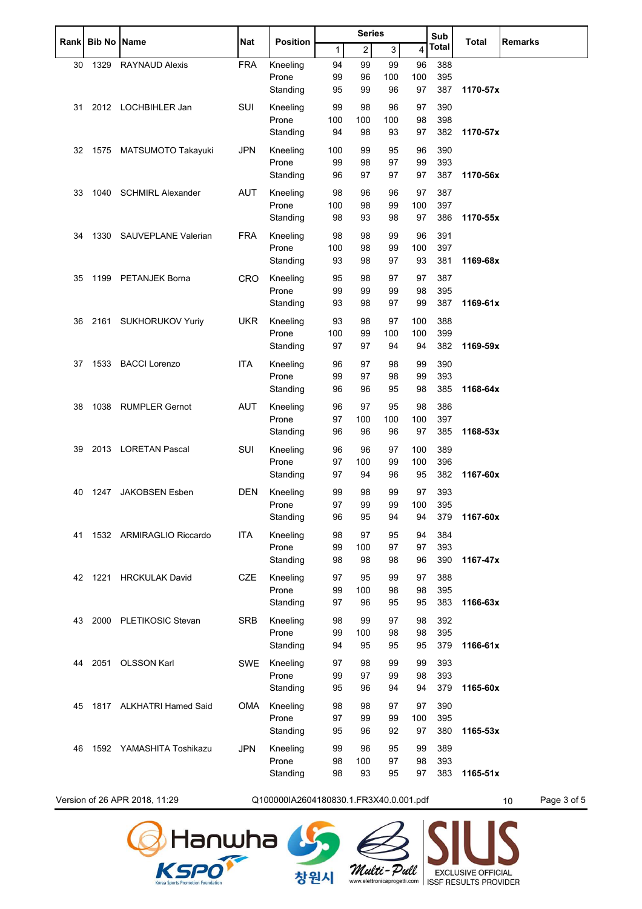| Rankl | <b>Bib No Name</b> |                          | Nat        | <b>Position</b>   | <b>Series</b> |                |           |            | Sub          |          | <b>Remarks</b> |
|-------|--------------------|--------------------------|------------|-------------------|---------------|----------------|-----------|------------|--------------|----------|----------------|
|       |                    |                          |            |                   | 1             | $\overline{c}$ | 3         | 4          | <b>Total</b> | Total    |                |
| 30    | 1329               | <b>RAYNAUD Alexis</b>    | <b>FRA</b> | Kneeling          | 94            | 99             | 99        | 96         | 388          |          |                |
|       |                    |                          |            | Prone             | 99            | 96             | 100       | 100        | 395          |          |                |
|       |                    |                          |            | Standing          | 95            | 99             | 96        | 97         | 387          | 1170-57x |                |
| 31    |                    | 2012 LOCHBIHLER Jan      | SUI        | Kneeling          | 99            | 98             | 96        | 97         | 390          |          |                |
|       |                    |                          |            | Prone             | 100           | 100            | 100       | 98         | 398          |          |                |
|       |                    |                          |            | Standing          | 94            | 98             | 93        | 97         | 382          | 1170-57x |                |
| 32    | 1575               | MATSUMOTO Takayuki       | <b>JPN</b> | Kneeling          | 100           | 99             | 95        | 96         | 390          |          |                |
|       |                    |                          |            | Prone             | 99            | 98             | 97        | 99         | 393          |          |                |
|       |                    |                          |            | Standing          | 96            | 97             | 97        | 97         | 387          | 1170-56x |                |
| 33    | 1040               | SCHMIRL Alexander        | <b>AUT</b> | Kneeling          | 98            | 96             | 96        | 97         | 387          |          |                |
|       |                    |                          |            | Prone<br>Standing | 100<br>98     | 98<br>93       | 99<br>98  | 100<br>97  | 397<br>386   | 1170-55x |                |
|       |                    |                          |            |                   |               |                |           |            |              |          |                |
| 34    | 1330               | SAUVEPLANE Valerian      | <b>FRA</b> | Kneeling          | 98            | 98             | 99        | 96         | 391          |          |                |
|       |                    |                          |            | Prone<br>Standing | 100<br>93     | 98<br>98       | 99<br>97  | 100<br>93  | 397<br>381   | 1169-68x |                |
|       |                    |                          |            |                   |               |                |           |            |              |          |                |
| 35    | 1199               | <b>PETANJEK Borna</b>    | <b>CRO</b> | Kneeling          | 95            | 98             | 97        | 97         | 387          |          |                |
|       |                    |                          |            | Prone<br>Standing | 99<br>93      | 99<br>98       | 99<br>97  | 98<br>99   | 395<br>387   | 1169-61x |                |
|       |                    |                          |            |                   |               |                |           |            |              |          |                |
| 36    |                    | 2161 SUKHORUKOV Yuriy    | <b>UKR</b> | Kneeling<br>Prone | 93<br>100     | 98             | 97        | 100<br>100 | 388<br>399   |          |                |
|       |                    |                          |            | Standing          | 97            | 99<br>97       | 100<br>94 | 94         | 382          | 1169-59x |                |
|       |                    |                          |            |                   |               |                |           |            |              |          |                |
| 37    | 1533               | <b>BACCI Lorenzo</b>     | <b>ITA</b> | Kneeling<br>Prone | 96<br>99      | 97<br>97       | 98<br>98  | 99<br>99   | 390<br>393   |          |                |
|       |                    |                          |            | Standing          | 96            | 96             | 95        | 98         | 385          | 1168-64x |                |
|       |                    | <b>RUMPLER Gernot</b>    | <b>AUT</b> |                   |               | 97             | 95        |            | 386          |          |                |
| 38    | 1038               |                          |            | Kneeling<br>Prone | 96<br>97      | 100            | 100       | 98<br>100  | 397          |          |                |
|       |                    |                          |            | Standing          | 96            | 96             | 96        | 97         | 385          | 1168-53x |                |
| 39    |                    | 2013 LORETAN Pascal      | SUI        | Kneeling          | 96            | 96             | 97        | 100        | 389          |          |                |
|       |                    |                          |            | Prone             | 97            | 100            | 99        | 100        | 396          |          |                |
|       |                    |                          |            | Standing          | 97            | 94             | 96        | 95         | 382          | 1167-60x |                |
| 40    | 1247               | <b>JAKOBSEN Esben</b>    | DEN        | Kneeling          | 99            | 98             | 99        | 97         | 393          |          |                |
|       |                    |                          |            | Prone             | 97            | 99             | 99        | 100        | 395          |          |                |
|       |                    |                          |            | Standing          | 96            | 95             | 94        | 94         | 379          | 1167-60x |                |
| 41    |                    | 1532 ARMIRAGLIO Riccardo | <b>ITA</b> | Kneeling          | 98            | 97             | 95        | 94         | 384          |          |                |
|       |                    |                          |            | Prone             | 99            | 100            | 97        | 97         | 393          |          |                |
|       |                    |                          |            | Standing          | 98            | 98             | 98        | 96         | 390          | 1167-47x |                |
| 42    | 1221               | <b>HRCKULAK David</b>    | <b>CZE</b> | Kneeling          | 97            | 95             | 99        | 97         | 388          |          |                |
|       |                    |                          |            | Prone             | 99            | 100            | 98        | 98         | 395          |          |                |
|       |                    |                          |            | Standing          | 97            | 96             | 95        | 95         | 383          | 1166-63x |                |
| 43    | 2000               | PLETIKOSIC Stevan        | <b>SRB</b> | Kneeling          | 98            | 99             | 97        | 98         | 392          |          |                |
|       |                    |                          |            | Prone             | 99            | 100            | 98        | 98         | 395          |          |                |
|       |                    |                          |            | Standing          | 94            | 95             | 95        | 95         | 379          | 1166-61x |                |
| 44    |                    | 2051 OLSSON Karl         | <b>SWE</b> | Kneeling          | 97            | 98             | 99        | 99         | 393          |          |                |
|       |                    |                          |            | Prone             | 99            | 97             | 99        | 98         | 393          |          |                |
|       |                    |                          |            | Standing          | 95            | 96             | 94        | 94         | 379          | 1165-60x |                |
| 45    |                    | 1817 ALKHATRI Hamed Said | OMA        | Kneeling          | 98            | 98             | 97        | 97         | 390          |          |                |
|       |                    |                          |            | Prone             | 97            | 99             | 99        | 100        | 395          |          |                |
|       |                    |                          |            | Standing          | 95            | 96             | 92        | 97         | 380          | 1165-53x |                |
| 46    |                    | 1592 YAMASHITA Toshikazu | <b>JPN</b> | Kneeling          | 99            | 96             | 95        | 99         | 389          |          |                |
|       |                    |                          |            | Prone             | 98            | 100            | 97        | 98         | 393          |          |                |
|       |                    |                          |            | Standing          | 98            | 93             | 95        | 97         | 383          | 1165-51x |                |
|       |                    |                          |            |                   |               |                |           |            |              |          |                |

Version of 26 APR 2018, 11:29 Q100000IA2604180830.1.FR3X40.0.001.pdf 10 Page 3 of 5

창원시





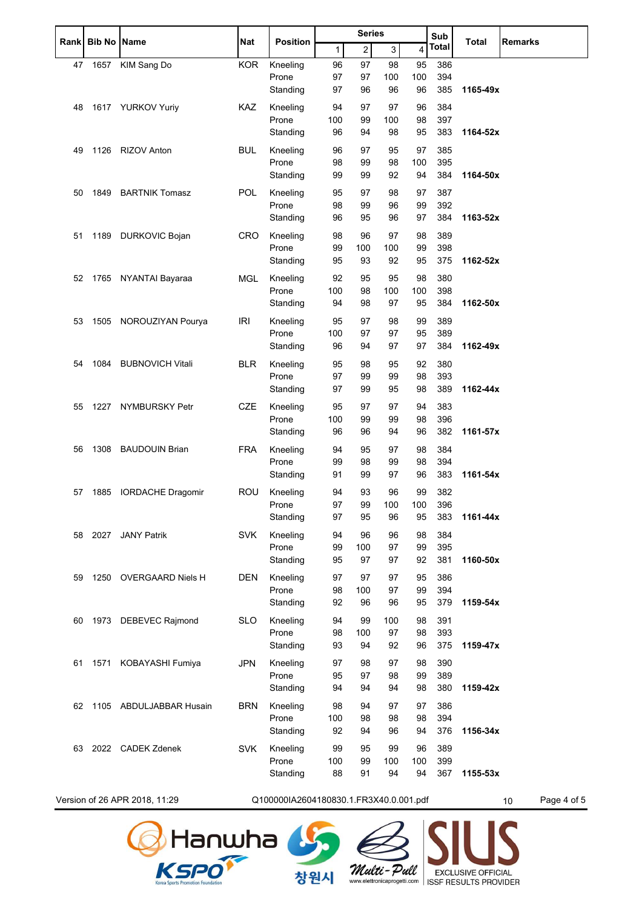|    | Rank Bib No Name |                          | Nat        | <b>Position</b>   | <b>Series</b> |                |           |           | Sub          |          | <b>Remarks</b> |
|----|------------------|--------------------------|------------|-------------------|---------------|----------------|-----------|-----------|--------------|----------|----------------|
|    |                  |                          |            |                   | 1             | $\overline{2}$ | 3         | 4         | <b>Total</b> | Total    |                |
| 47 | 1657             | KIM Sang Do              | <b>KOR</b> | Kneeling          | 96            | 97             | 98        | 95        | 386          |          |                |
|    |                  |                          |            | Prone             | 97            | 97             | 100       | 100       | 394          |          |                |
|    |                  |                          |            | Standing          | 97            | 96             | 96        | 96        | 385          | 1165-49x |                |
| 48 |                  | 1617 YURKOV Yuriy        | <b>KAZ</b> | Kneeling          | 94            | 97             | 97        | 96        | 384          |          |                |
|    |                  |                          |            | Prone             | 100           | 99             | 100       | 98        | 397          |          |                |
|    |                  |                          |            | Standing          | 96            | 94             | 98        | 95        | 383          | 1164-52x |                |
| 49 | 1126             | <b>RIZOV Anton</b>       | <b>BUL</b> | Kneeling          | 96            | 97             | 95        | 97        | 385          |          |                |
|    |                  |                          |            | Prone<br>Standing | 98<br>99      | 99<br>99       | 98<br>92  | 100<br>94 | 395<br>384   | 1164-50x |                |
|    |                  |                          |            |                   |               |                |           |           |              |          |                |
| 50 | 1849             | <b>BARTNIK Tomasz</b>    | POL        | Kneeling<br>Prone | 95<br>98      | 97<br>99       | 98<br>96  | 97<br>99  | 387<br>392   |          |                |
|    |                  |                          |            | Standing          | 96            | 95             | 96        | 97        | 384          | 1163-52x |                |
|    |                  |                          |            |                   |               |                |           |           |              |          |                |
| 51 | 1189             | DURKOVIC Bojan           | <b>CRO</b> | Kneeling<br>Prone | 98<br>99      | 96<br>100      | 97<br>100 | 98<br>99  | 389<br>398   |          |                |
|    |                  |                          |            | Standing          | 95            | 93             | 92        | 95        | 375          | 1162-52x |                |
| 52 |                  | 1765 NYANTAI Bayaraa     | MGL        | Kneeling          | 92            | 95             | 95        | 98        | 380          |          |                |
|    |                  |                          |            | Prone             | 100           | 98             | 100       | 100       | 398          |          |                |
|    |                  |                          |            | Standing          | 94            | 98             | 97        | 95        | 384          | 1162-50x |                |
| 53 | 1505             | NOROUZIYAN Pourya        | <b>IRI</b> | Kneeling          | 95            | 97             | 98        | 99        | 389          |          |                |
|    |                  |                          |            | Prone             | 100           | 97             | 97        | 95        | 389          |          |                |
|    |                  |                          |            | Standing          | 96            | 94             | 97        | 97        | 384          | 1162-49x |                |
| 54 | 1084             | <b>BUBNOVICH Vitali</b>  | <b>BLR</b> | Kneeling          | 95            | 98             | 95        | 92        | 380          |          |                |
|    |                  |                          |            | Prone             | 97            | 99             | 99        | 98        | 393          |          |                |
|    |                  |                          |            | Standing          | 97            | 99             | 95        | 98        | 389          | 1162-44x |                |
| 55 | 1227             | NYMBURSKY Petr           | CZE        | Kneeling          | 95            | 97             | 97        | 94        | 383          |          |                |
|    |                  |                          |            | Prone             | 100           | 99             | 99        | 98        | 396          |          |                |
|    |                  |                          |            | Standing          | 96            | 96             | 94        | 96        | 382          | 1161-57x |                |
| 56 | 1308             | <b>BAUDOUIN Brian</b>    | <b>FRA</b> | Kneeling          | 94            | 95             | 97        | 98        | 384          |          |                |
|    |                  |                          |            | Prone             | 99            | 98             | 99        | 98        | 394          |          |                |
|    |                  |                          |            | Standing          | 91            | 99             | 97        | 96        | 383          | 1161-54x |                |
| 57 | 1885             | <b>IORDACHE Dragomir</b> | <b>ROU</b> | Kneeling          | 94            | 93             | 96        | 99        | 382          |          |                |
|    |                  |                          |            | Prone             | 97            | 99             | 100       | 100       | 396          |          |                |
|    |                  |                          |            | Standing          | 97            | 95             | 96        | 95        | 383          | 1161-44x |                |
| 58 |                  | 2027 JANY Patrik         | <b>SVK</b> | Kneeling          | 94            | 96             | 96        | 98        | 384          |          |                |
|    |                  |                          |            | Prone<br>Standing | 99<br>95      | 100<br>97      | 97<br>97  | 99<br>92  | 395<br>381   | 1160-50x |                |
|    |                  |                          |            |                   |               |                |           |           |              |          |                |
| 59 |                  | 1250 OVERGAARD Niels H   | <b>DEN</b> | Kneeling          | 97            | 97             | 97        | 95        | 386          |          |                |
|    |                  |                          |            | Prone<br>Standing | 98<br>92      | 100<br>96      | 97<br>96  | 99<br>95  | 394<br>379   | 1159-54x |                |
|    |                  |                          |            |                   |               |                |           |           |              |          |                |
| 60 | 1973             | DEBEVEC Rajmond          | <b>SLO</b> | Kneeling<br>Prone | 94<br>98      | 99<br>100      | 100<br>97 | 98<br>98  | 391<br>393   |          |                |
|    |                  |                          |            | Standing          | 93            | 94             | 92        | 96        | 375          | 1159-47x |                |
| 61 | 1571             | KOBAYASHI Fumiya         | JPN        | Kneeling          | 97            | 98             | 97        | 98        | 390          |          |                |
|    |                  |                          |            | Prone             | 95            | 97             | 98        | 99        | 389          |          |                |
|    |                  |                          |            | Standing          | 94            | 94             | 94        | 98        | 380          | 1159-42x |                |
| 62 |                  | 1105 ABDULJABBAR Husain  | <b>BRN</b> | Kneeling          | 98            | 94             | 97        | 97        | 386          |          |                |
|    |                  |                          |            | Prone             | 100           | 98             | 98        | 98        | 394          |          |                |
|    |                  |                          |            | Standing          | 92            | 94             | 96        | 94        | 376          | 1156-34x |                |
| 63 |                  | 2022 CADEK Zdenek        | <b>SVK</b> | Kneeling          | 99            | 95             | 99        | 96        | 389          |          |                |
|    |                  |                          |            | Prone             | 100           | 99             | 100       | 100       | 399          |          |                |
|    |                  |                          |            | Standing          | 88            | 91             | 94        | 94        | 367          | 1155-53x |                |
|    |                  |                          |            |                   |               |                |           |           |              |          |                |

Version of 26 APR 2018, 11:29 Q100000IA2604180830.1.FR3X40.0.001.pdf 10 Page 4 of 5

창원시